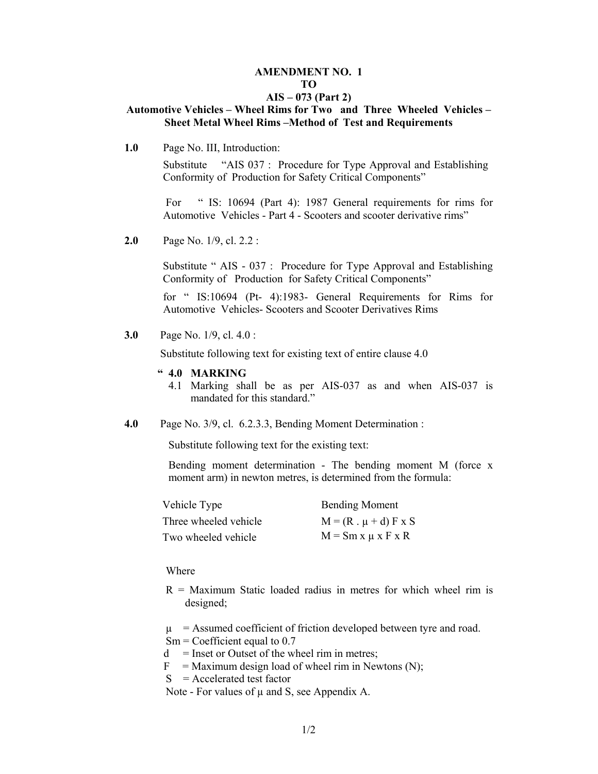#### **AMENDMENT NO. 1 TO**

#### **AIS – 073 (Part 2)**

#### **Automotive Vehicles – Wheel Rims for Two and Three Wheeled Vehicles – Sheet Metal Wheel Rims –Method of Test and Requirements**

**1.0** Page No. III, Introduction:

 Substitute "AIS 037 : Procedure for Type Approval and Establishing Conformity of Production for Safety Critical Components"

For " IS: 10694 (Part 4): 1987 General requirements for rims for Automotive Vehicles - Part 4 - Scooters and scooter derivative rims"

**2.0** Page No. 1/9, cl. 2.2 :

Substitute " AIS - 037 : Procedure for Type Approval and Establishing Conformity of Production for Safety Critical Components"

for " IS:10694 (Pt- 4):1983- General Requirements for Rims for Automotive Vehicles- Scooters and Scooter Derivatives Rims

**3.0** Page No. 1/9, cl. 4.0 :

Substitute following text for existing text of entire clause 4.0

- **" 4.0 MARKING** 
	- 4.1 Marking shall be as per AIS-037 as and when AIS-037 is mandated for this standard."
- **4.0** Page No. 3/9, cl. 6.2.3.3, Bending Moment Determination :

Substitute following text for the existing text:

Bending moment determination - The bending moment M (force x moment arm) in newton metres, is determined from the formula:

| Vehicle Type          | <b>Bending Moment</b>         |
|-----------------------|-------------------------------|
| Three wheeled vehicle | $M = (R \cdot \mu + d) F x S$ |
| Two wheeled vehicle   | $M = Sm x \mu x F x R$        |

#### Where

- $R =$  Maximum Static loaded radius in metres for which wheel rim is designed;
- $\mu$  = Assumed coefficient of friction developed between tyre and road.
- $Sm = Coefficient$  equal to 0.7
- $d =$  Inset or Outset of the wheel rim in metres;
- $F =$  Maximum design load of wheel rim in Newtons (N);

 $S =$  Accelerated test factor

Note - For values of  $\mu$  and S, see Appendix A.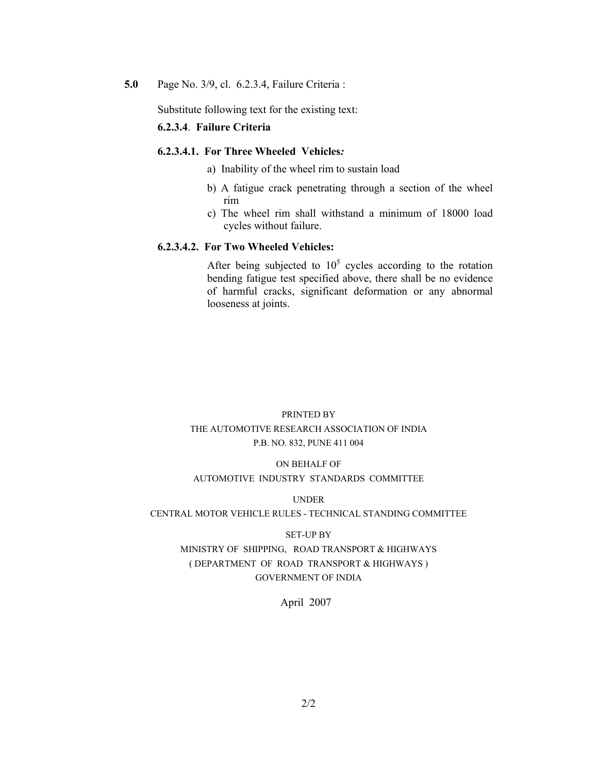**5.0** Page No. 3/9, cl. 6.2.3.4, Failure Criteria :

Substitute following text for the existing text:

#### **6.2.3.4**. **Failure Criteria**

#### **6.2.3.4.1. For Three Wheeled Vehicles***:*

- a) Inability of the wheel rim to sustain load
- b) A fatigue crack penetrating through a section of the wheel rim
- c) The wheel rim shall withstand a minimum of 18000 load cycles without failure.

#### **6.2.3.4.2. For Two Wheeled Vehicles:**

After being subjected to  $10^5$  cycles according to the rotation bending fatigue test specified above, there shall be no evidence of harmful cracks, significant deformation or any abnormal looseness at joints.

### PRINTED BY THE AUTOMOTIVE RESEARCH ASSOCIATION OF INDIA P.B. NO. 832, PUNE 411 004

#### ON BEHALF OF

#### AUTOMOTIVE INDUSTRY STANDARDS COMMITTEE

UNDER

#### CENTRAL MOTOR VEHICLE RULES - TECHNICAL STANDING COMMITTEE

#### SET-UP BY

#### MINISTRY OF SHIPPING, ROAD TRANSPORT & HIGHWAYS ( DEPARTMENT OF ROAD TRANSPORT & HIGHWAYS ) GOVERNMENT OF INDIA

#### April 2007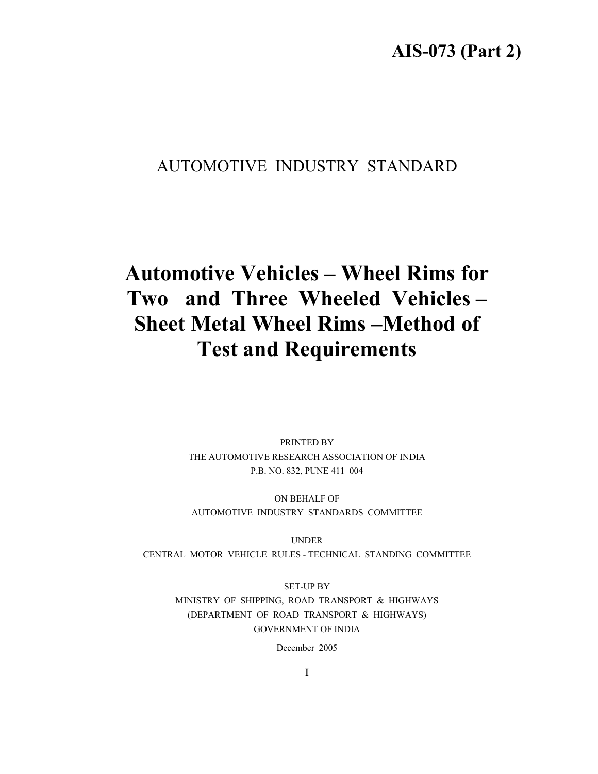# **AIS-073 (Part 2)**

# AUTOMOTIVE INDUSTRY STANDARD

# **Automotive Vehicles – Wheel Rims for Two and Three Wheeled Vehicles – Sheet Metal Wheel Rims –Method of Test and Requirements**

PRINTED BY THE AUTOMOTIVE RESEARCH ASSOCIATION OF INDIA P.B. NO. 832, PUNE 411 004

ON BEHALF OF AUTOMOTIVE INDUSTRY STANDARDS COMMITTEE

UNDER CENTRAL MOTOR VEHICLE RULES - TECHNICAL STANDING COMMITTEE

SET-UP BY MINISTRY OF SHIPPING, ROAD TRANSPORT & HIGHWAYS (DEPARTMENT OF ROAD TRANSPORT & HIGHWAYS) GOVERNMENT OF INDIA

December 2005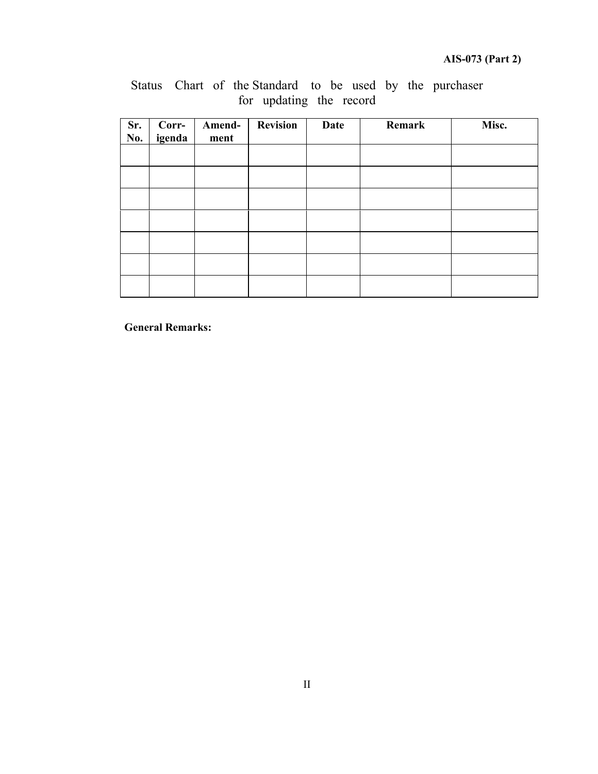| Sr.<br>No. | Corr-<br>igenda | Amend-<br>ment | <b>Revision</b> | Date | Remark | Misc. |
|------------|-----------------|----------------|-----------------|------|--------|-------|
|            |                 |                |                 |      |        |       |
|            |                 |                |                 |      |        |       |
|            |                 |                |                 |      |        |       |
|            |                 |                |                 |      |        |       |
|            |                 |                |                 |      |        |       |
|            |                 |                |                 |      |        |       |
|            |                 |                |                 |      |        |       |

## Status Chart of the Standard to be used by the purchaser for updating the record

**General Remarks:**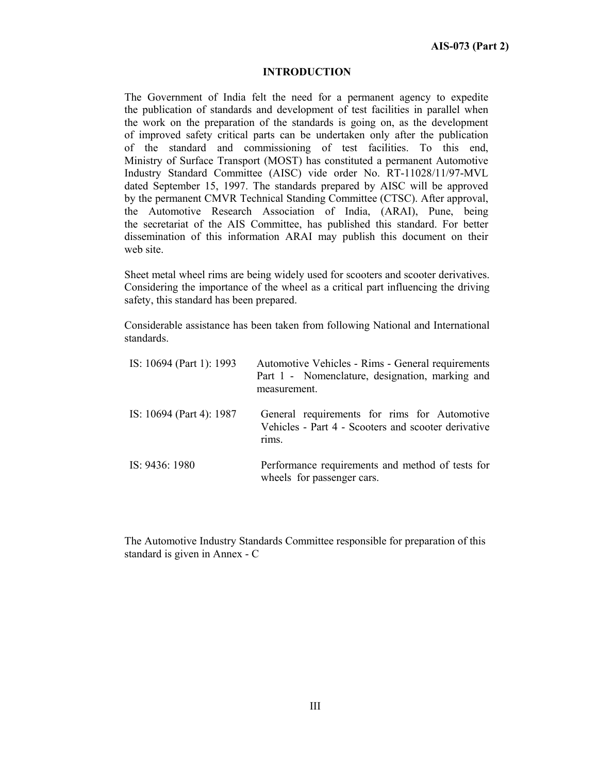#### **INTRODUCTION**

The Government of India felt the need for a permanent agency to expedite the publication of standards and development of test facilities in parallel when the work on the preparation of the standards is going on, as the development of improved safety critical parts can be undertaken only after the publication of the standard and commissioning of test facilities. To this end, Ministry of Surface Transport (MOST) has constituted a permanent Automotive Industry Standard Committee (AISC) vide order No. RT-11028/11/97-MVL dated September 15, 1997. The standards prepared by AISC will be approved by the permanent CMVR Technical Standing Committee (CTSC). After approval, the Automotive Research Association of India, (ARAI), Pune, being the secretariat of the AIS Committee, has published this standard. For better dissemination of this information ARAI may publish this document on their web site.

Sheet metal wheel rims are being widely used for scooters and scooter derivatives. Considering the importance of the wheel as a critical part influencing the driving safety, this standard has been prepared.

Considerable assistance has been taken from following National and International standards.

| IS: 10694 (Part 1): 1993 | Automotive Vehicles - Rims - General requirements<br>Part 1 - Nomenclature, designation, marking and<br>measurement. |
|--------------------------|----------------------------------------------------------------------------------------------------------------------|
| IS: 10694 (Part 4): 1987 | General requirements for rims for Automotive<br>Vehicles - Part 4 - Scooters and scooter derivative<br>rims.         |
| IS: 9436: 1980           | Performance requirements and method of tests for<br>wheels for passenger cars.                                       |

The Automotive Industry Standards Committee responsible for preparation of this standard is given in Annex - C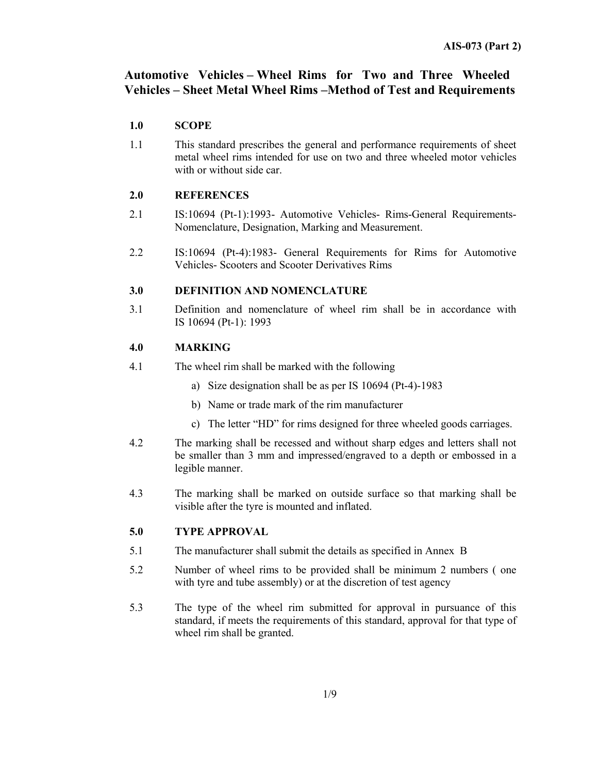## **Automotive Vehicles – Wheel Rims for Two and Three Wheeled Vehicles – Sheet Metal Wheel Rims –Method of Test and Requirements**

#### **1.0 SCOPE**

1.1 This standard prescribes the general and performance requirements of sheet metal wheel rims intended for use on two and three wheeled motor vehicles with or without side car.

#### **2.0 REFERENCES**

- 2.1 IS:10694 (Pt-1):1993- Automotive Vehicles- Rims-General Requirements-Nomenclature, Designation, Marking and Measurement.
- 2.2 IS:10694 (Pt-4):1983- General Requirements for Rims for Automotive Vehicles- Scooters and Scooter Derivatives Rims

#### **3.0 DEFINITION AND NOMENCLATURE**

3.1 Definition and nomenclature of wheel rim shall be in accordance with IS 10694 (Pt-1): 1993

#### **4.0 MARKING**

- 4.1 The wheel rim shall be marked with the following
	- a) Size designation shall be as per IS 10694 (Pt-4)-1983
	- b) Name or trade mark of the rim manufacturer
	- c) The letter "HD" for rims designed for three wheeled goods carriages.
- 4.2 The marking shall be recessed and without sharp edges and letters shall not be smaller than 3 mm and impressed/engraved to a depth or embossed in a legible manner.
- 4.3 The marking shall be marked on outside surface so that marking shall be visible after the tyre is mounted and inflated.

#### **5.0 TYPE APPROVAL**

- 5.1 The manufacturer shall submit the details as specified in Annex B
- 5.2 Number of wheel rims to be provided shall be minimum 2 numbers ( one with tyre and tube assembly) or at the discretion of test agency
- 5.3 The type of the wheel rim submitted for approval in pursuance of this standard, if meets the requirements of this standard, approval for that type of wheel rim shall be granted.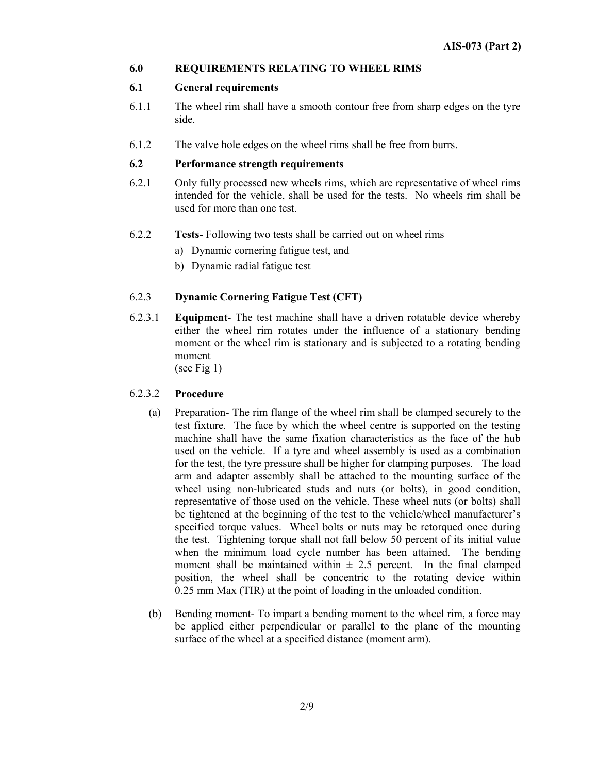#### **6.0 REQUIREMENTS RELATING TO WHEEL RIMS**

#### **6.1 General requirements**

- 6.1.1 The wheel rim shall have a smooth contour free from sharp edges on the tyre side.
- 6.1.2 The valve hole edges on the wheel rims shall be free from burrs.

#### **6.2 Performance strength requirements**

- 6.2.1 Only fully processed new wheels rims, which are representative of wheel rims intended for the vehicle, shall be used for the tests. No wheels rim shall be used for more than one test.
- 6.2.2 **Tests-** Following two tests shall be carried out on wheel rims
	- a) Dynamic cornering fatigue test, and
	- b) Dynamic radial fatigue test

#### 6.2.3 **Dynamic Cornering Fatigue Test (CFT)**

6.2.3.1 **Equipment***-* The test machine shall have a driven rotatable device whereby either the wheel rim rotates under the influence of a stationary bending moment or the wheel rim is stationary and is subjected to a rotating bending moment

(see Fig 1)

#### 6.2.3.2 **Procedure**

- (a) Preparation- The rim flange of the wheel rim shall be clamped securely to the test fixture. The face by which the wheel centre is supported on the testing machine shall have the same fixation characteristics as the face of the hub used on the vehicle. If a tyre and wheel assembly is used as a combination for the test, the tyre pressure shall be higher for clamping purposes. The load arm and adapter assembly shall be attached to the mounting surface of the wheel using non-lubricated studs and nuts (or bolts), in good condition, representative of those used on the vehicle. These wheel nuts (or bolts) shall be tightened at the beginning of the test to the vehicle/wheel manufacturer's specified torque values. Wheel bolts or nuts may be retorqued once during the test. Tightening torque shall not fall below 50 percent of its initial value when the minimum load cycle number has been attained. The bending moment shall be maintained within  $\pm$  2.5 percent. In the final clamped position, the wheel shall be concentric to the rotating device within 0.25 mm Max (TIR) at the point of loading in the unloaded condition.
- (b) Bending moment- To impart a bending moment to the wheel rim, a force may be applied either perpendicular or parallel to the plane of the mounting surface of the wheel at a specified distance (moment arm).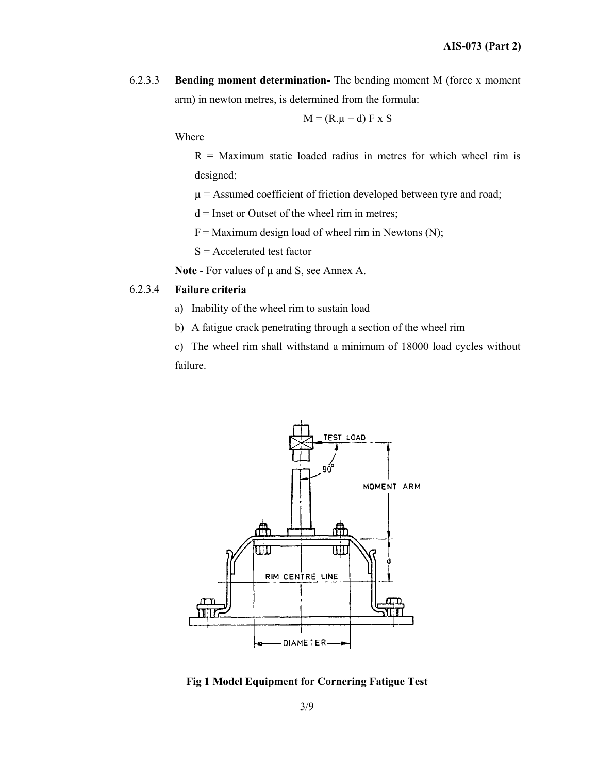6.2.3.3 **Bending moment determination-** The bending moment M (force x moment arm) in newton metres, is determined from the formula:

$$
M = (R.\mu + d) F \times S
$$

Where

 $R =$  Maximum static loaded radius in metres for which wheel rim is designed;

 $\mu$  = Assumed coefficient of friction developed between tyre and road;

 $d =$  Inset or Outset of the wheel rim in metres;

 $F =$  Maximum design load of wheel rim in Newtons (N);

S = Accelerated test factor

**Note - For values of**  $\mu$  **and S, see Annex A.** 

#### 6.2.3.4 **Failure criteria**

- a) Inability of the wheel rim to sustain load
- b) A fatigue crack penetrating through a section of the wheel rim

c) The wheel rim shall withstand a minimum of 18000 load cycles without failure.



**Fig 1 Model Equipment for Cornering Fatigue Test** 

3/9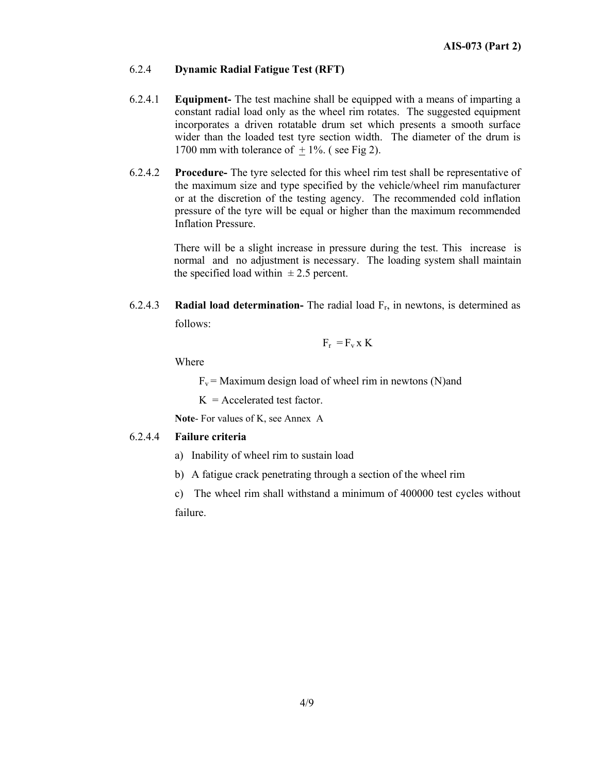#### 6.2.4 **Dynamic Radial Fatigue Test (RFT)**

- 6.2.4.1 **Equipment-** The test machine shall be equipped with a means of imparting a constant radial load only as the wheel rim rotates. The suggested equipment incorporates a driven rotatable drum set which presents a smooth surface wider than the loaded test tyre section width. The diameter of the drum is 1700 mm with tolerance of  $+1\%$ . (see Fig 2).
- 6.2.4.2 **Procedure-** The tyre selected for this wheel rim test shall be representative of the maximum size and type specified by the vehicle/wheel rim manufacturer or at the discretion of the testing agency. The recommended cold inflation pressure of the tyre will be equal or higher than the maximum recommended Inflation Pressure.

There will be a slight increase in pressure during the test. This increase is normal and no adjustment is necessary. The loading system shall maintain the specified load within  $\pm 2.5$  percent.

6.2.4.3 **Radial load determination-** The radial load Fr, in newtons, is determined as follows:

$$
F_r = F_v x K
$$

Where

 $F_v$  = Maximum design load of wheel rim in newtons (N)and

 $K =$  Accelerated test factor.

**Note**- For values of K, see Annex A

#### 6.2.4.4 **Failure criteria**

- a) Inability of wheel rim to sustain load
- b) A fatigue crack penetrating through a section of the wheel rim
- c) The wheel rim shall withstand a minimum of 400000 test cycles without failure.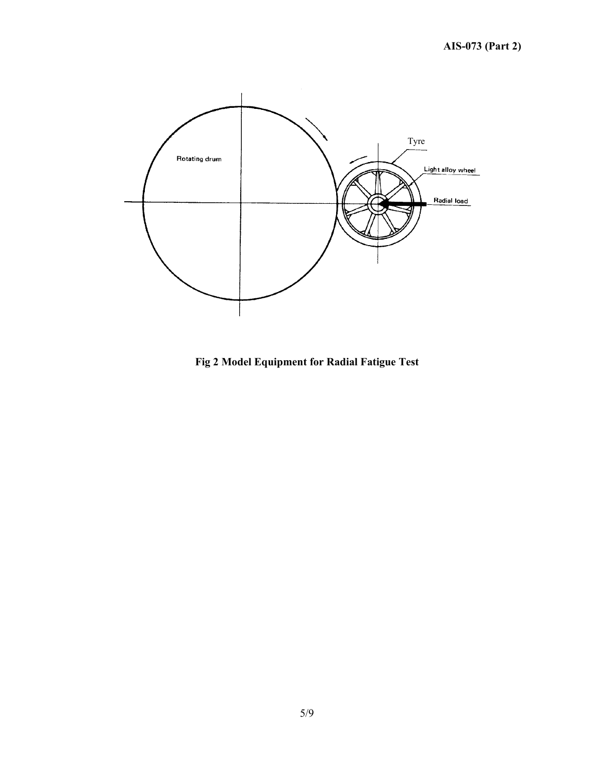

**Fig 2 Model Equipment for Radial Fatigue Test**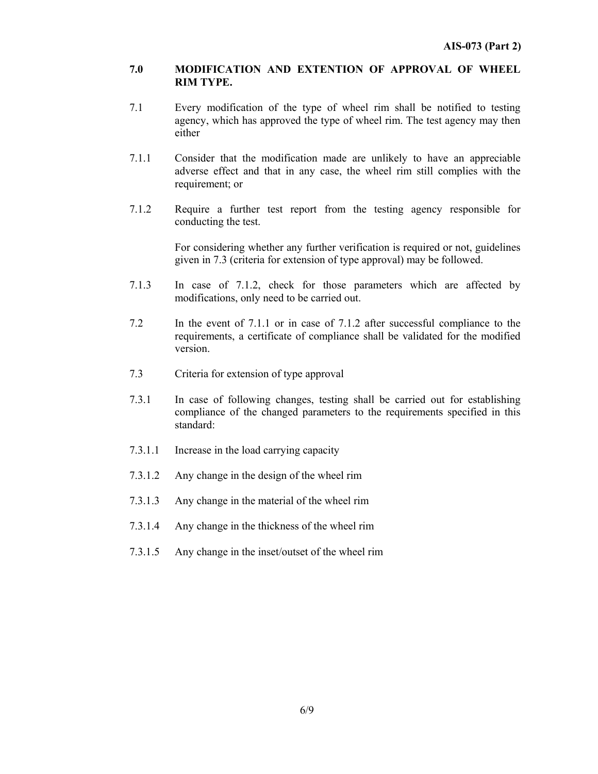#### **7.0 MODIFICATION AND EXTENTION OF APPROVAL OF WHEEL RIM TYPE.**

- 7.1 Every modification of the type of wheel rim shall be notified to testing agency, which has approved the type of wheel rim. The test agency may then either
- 7.1.1 Consider that the modification made are unlikely to have an appreciable adverse effect and that in any case, the wheel rim still complies with the requirement; or
- 7.1.2 Require a further test report from the testing agency responsible for conducting the test.

 For considering whether any further verification is required or not, guidelines given in 7.3 (criteria for extension of type approval) may be followed.

- 7.1.3 In case of 7.1.2, check for those parameters which are affected by modifications, only need to be carried out.
- 7.2 In the event of 7.1.1 or in case of 7.1.2 after successful compliance to the requirements, a certificate of compliance shall be validated for the modified version.
- 7.3 Criteria for extension of type approval
- 7.3.1 In case of following changes, testing shall be carried out for establishing compliance of the changed parameters to the requirements specified in this standard:
- 7.3.1.1 Increase in the load carrying capacity
- 7.3.1.2 Any change in the design of the wheel rim
- 7.3.1.3 Any change in the material of the wheel rim
- 7.3.1.4 Any change in the thickness of the wheel rim
- 7.3.1.5 Any change in the inset/outset of the wheel rim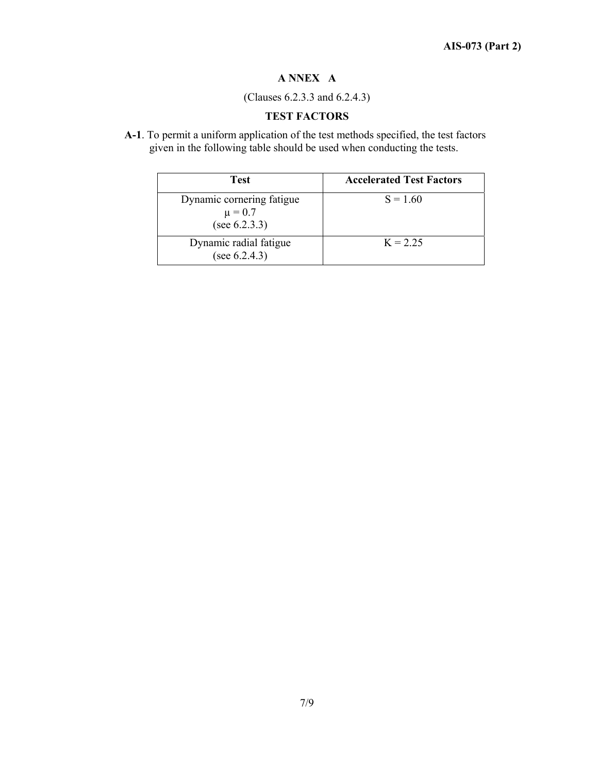# **A NNEX A**

(Clauses 6.2.3.3 and 6.2.4.3)

# **TEST FACTORS**

**A-1**. To permit a uniform application of the test methods specified, the test factors given in the following table should be used when conducting the tests.

| <b>Test</b>                                               | <b>Accelerated Test Factors</b> |
|-----------------------------------------------------------|---------------------------------|
| Dynamic cornering fatigue<br>$\mu = 0.7$<br>(see 6.2.3.3) | $S = 1.60$                      |
| Dynamic radial fatigue<br>(see $6.2.4.3$ )                | $K = 2.25$                      |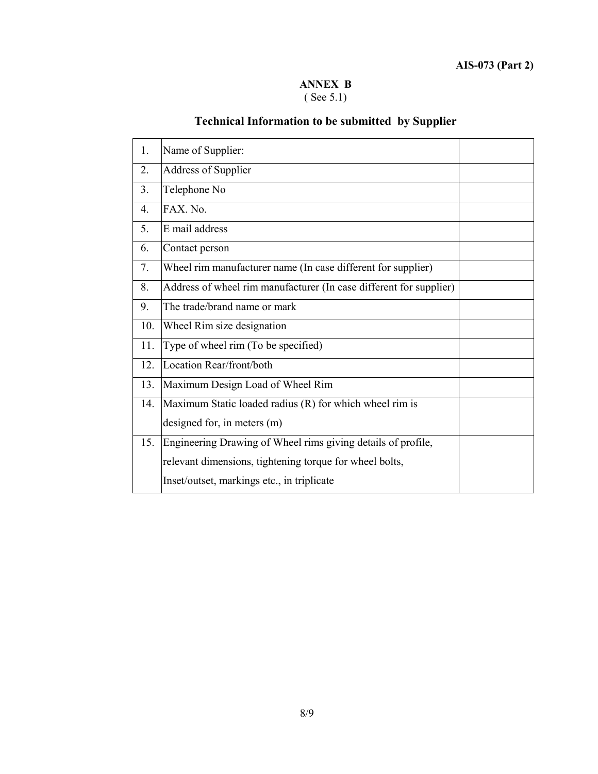### **ANNEX B**  ( See 5.1)

# **Technical Information to be submitted by Supplier**

| 1.             | Name of Supplier:                                                  |  |
|----------------|--------------------------------------------------------------------|--|
| 2.             | <b>Address of Supplier</b>                                         |  |
| 3 <sub>1</sub> | Telephone No                                                       |  |
| 4.             | FAX. No.                                                           |  |
| 5.             | E mail address                                                     |  |
| 6.             | Contact person                                                     |  |
| 7.             | Wheel rim manufacturer name (In case different for supplier)       |  |
| 8.             | Address of wheel rim manufacturer (In case different for supplier) |  |
| 9.             | The trade/brand name or mark                                       |  |
| 10.            | Wheel Rim size designation                                         |  |
| 11.            | Type of wheel rim (To be specified)                                |  |
| 12.            | Location Rear/front/both                                           |  |
| 13.            | Maximum Design Load of Wheel Rim                                   |  |
| 14.            | Maximum Static loaded radius (R) for which wheel rim is            |  |
|                | designed for, in meters (m)                                        |  |
| 15.            | Engineering Drawing of Wheel rims giving details of profile,       |  |
|                | relevant dimensions, tightening torque for wheel bolts,            |  |
|                | Inset/outset, markings etc., in triplicate                         |  |